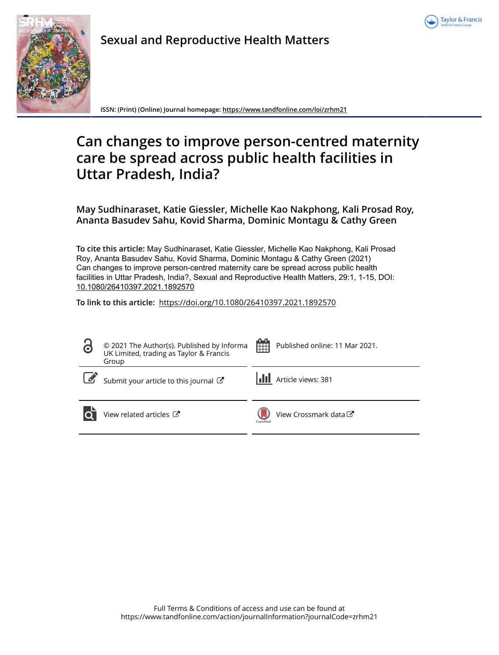



**Sexual and Reproductive Health Matters**

**ISSN: (Print) (Online) Journal homepage:<https://www.tandfonline.com/loi/zrhm21>**

# **Can changes to improve person-centred maternity care be spread across public health facilities in Uttar Pradesh, India?**

**May Sudhinaraset, Katie Giessler, Michelle Kao Nakphong, Kali Prosad Roy, Ananta Basudev Sahu, Kovid Sharma, Dominic Montagu & Cathy Green**

**To cite this article:** May Sudhinaraset, Katie Giessler, Michelle Kao Nakphong, Kali Prosad Roy, Ananta Basudev Sahu, Kovid Sharma, Dominic Montagu & Cathy Green (2021) Can changes to improve person-centred maternity care be spread across public health facilities in Uttar Pradesh, India?, Sexual and Reproductive Health Matters, 29:1, 1-15, DOI: [10.1080/26410397.2021.1892570](https://www.tandfonline.com/action/showCitFormats?doi=10.1080/26410397.2021.1892570)

**To link to this article:** <https://doi.org/10.1080/26410397.2021.1892570>

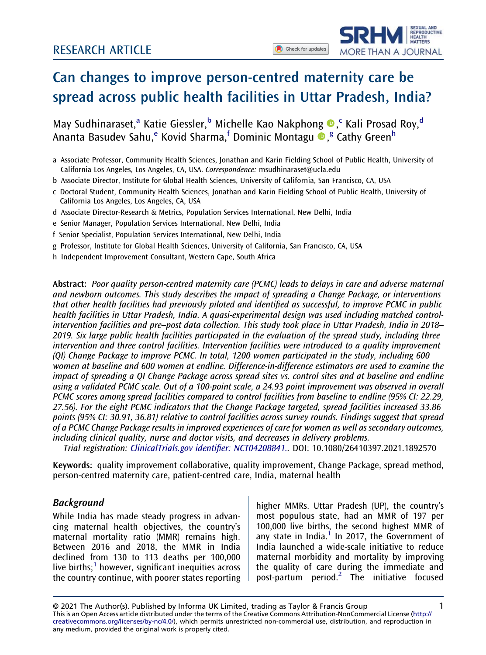**SEXUAL AND** SEXUAL AND<br>REPRODUCTIVE<br>HEALTH<br>MATTERS

MORE THAN A JOURNAL



May Sudhinaraset,<sup>a</sup> Katie Giessler,<sup>b</sup> Michelle Kao Nakphong ®,<sup>c</sup> Kali Prosad Roy,<sup>d</sup> Ananta Basudev Sahu,<sup>e</sup> Kovid Sharma,<sup>f</sup> Dominic Montagu ®,<sup>g</sup> Cathy Green<sup>h</sup>

- a Associate Professor, Community Health Sciences, Jonathan and Karin Fielding School of Public Health, University of California Los Angeles, Los Angeles, CA, USA. Correspondence: [msudhinaraset@ucla.edu](mailto:msudhinaraset@ucla.edu)
- b Associate Director, Institute for Global Health Sciences, University of California, San Francisco, CA, USA
- c Doctoral Student, Community Health Sciences, Jonathan and Karin Fielding School of Public Health, University of California Los Angeles, Los Angeles, CA, USA
- d Associate Director-Research & Metrics, Population Services International, New Delhi, India
- e Senior Manager, Population Services International, New Delhi, India
- f Senior Specialist, Population Services International, New Delhi, India
- g Professor, Institute for Global Health Sciences, University of California, San Francisco, CA, USA
- h Independent Improvement Consultant, Western Cape, South Africa

Abstract: Poor quality person-centred maternity care (PCMC) leads to delays in care and adverse maternal and newborn outcomes. This study describes the impact of spreading a Change Package, or interventions that other health facilities had previously piloted and identified as successful, to improve PCMC in public health facilities in Uttar Pradesh, India. A quasi-experimental design was used including matched controlintervention facilities and pre–post data collection. This study took place in Uttar Pradesh, India in 2018– 2019. Six large public health facilities participated in the evaluation of the spread study, including three intervention and three control facilities. Intervention facilities were introduced to a quality improvement (QI) Change Package to improve PCMC. In total, 1200 women participated in the study, including 600 women at baseline and 600 women at endline. Difference-in-difference estimators are used to examine the impact of spreading a QI Change Package across spread sites vs. control sites and at baseline and endline using a validated PCMC scale. Out of a 100-point scale, a 24.93 point improvement was observed in overall PCMC scores among spread facilities compared to control facilities from baseline to endline (95% CI: 22.29, 27.56). For the eight PCMC indicators that the Change Package targeted, spread facilities increased 33.86 points (95% CI: 30.91, 36.81) relative to control facilities across survey rounds. Findings suggest that spread of a PCMC Change Package results in improved experiences of care for women as well as secondary outcomes, including clinical quality, nurse and doctor visits, and decreases in delivery problems.

Trial registration: [ClinicalTrials.gov identi](https://clinicaltrials.gov/show/NCT04208841)fier: NCT04208841.. DOI: 10.1080/26410397.2021.1892570

Keywords: quality improvement collaborative, quality improvement, Change Package, spread method, person-centred maternity care, patient-centred care, India, maternal health

#### Background

While India has made steady progress in advancing maternal health objectives, the country's maternal mortality ratio (MMR) remains high. Between 2016 and 2018, the MMR in India declined from 130 to 113 deaths per 100,000 live births; $<sup>1</sup>$  however, significant inequities across</sup> the country continue, with poorer states reporting higher MMRs. Uttar Pradesh (UP), the country's most populous state, had an MMR of 197 per 100,000 live births, the second highest MMR of any state in India. $1$  In 2017, the Government of India launched a wide-scale initiative to reduce maternal morbidity and mortality by improving the quality of care during the immediate and post-partum period.[2](#page-13-1) The initiative focused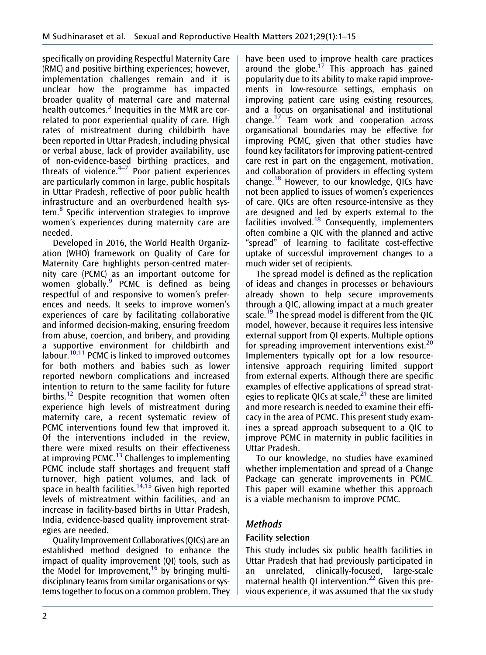<span id="page-2-0"></span>specifically on providing Respectful Maternity Care (RMC) and positive birthing experiences; however, implementation challenges remain and it is unclear how the programme has impacted broader quality of maternal care and maternal health outcomes.<sup>[3](#page-13-2)</sup> Inequities in the MMR are correlated to poor experiential quality of care. High rates of mistreatment during childbirth have been reported in Uttar Pradesh, including physical or verbal abuse, lack of provider availability, use of non-evidence-based birthing practices, and threats of violence. $4-7$  Poor patient experiences are particularly common in large, public hospitals in Uttar Pradesh, reflective of poor public health infrastructure and an overburdened health system.[8](#page-13-3) Specific intervention strategies to improve women's experiences during maternity care are needed.

<span id="page-2-4"></span><span id="page-2-3"></span><span id="page-2-2"></span><span id="page-2-1"></span>Developed in 2016, the World Health Organization (WHO) framework on Quality of Care for Maternity Care highlights person-centred maternity care (PCMC) as an important outcome for women globally.<sup>[9](#page-13-4)</sup> PCMC is defined as being respectful of and responsive to women's preferences and needs. It seeks to improve women's experiences of care by facilitating collaborative and informed decision-making, ensuring freedom from abuse, coercion, and bribery, and providing a supportive environment for childbirth and labour.<sup>10,[11](#page-13-6)</sup> PCMC is linked to improved outcomes for both mothers and babies such as lower reported newborn complications and increased intention to return to the same facility for future births.<sup>12</sup> Despite recognition that women often experience high levels of mistreatment during maternity care, a recent systematic review of PCMC interventions found few that improved it. Of the interventions included in the review, there were mixed results on their effectiveness at improving PCMC.<sup>13</sup> Challenges to implementing PCMC include staff shortages and frequent staff turnover, high patient volumes, and lack of space in health facilities.<sup>14,[15](#page-13-10)</sup> Given high reported levels of mistreatment within facilities, and an increase in facility-based births in Uttar Pradesh, India, evidence-based quality improvement strategies are needed.

<span id="page-2-7"></span><span id="page-2-6"></span><span id="page-2-5"></span>Quality Improvement Collaboratives (QICs) are an established method designed to enhance the impact of quality improvement (QI) tools, such as the Model for Improvement,  $16$  by bringing multidisciplinary teams from similar organisations or systems together to focus on a common problem. They <span id="page-2-8"></span>have been used to improve health care practices around the globe.<sup>17</sup> This approach has gained popularity due to its ability to make rapid improvements in low-resource settings, emphasis on improving patient care using existing resources, and a focus on organisational and institutional change[.17](#page-13-12) Team work and cooperation across organisational boundaries may be effective for improving PCMC, given that other studies have found key facilitators for improving patient-centred care rest in part on the engagement, motivation, and collaboration of providers in effecting system change[.18](#page-13-13) However, to our knowledge, QICs have not been applied to issues of women's experiences of care. QICs are often resource-intensive as they are designed and led by experts external to the facilities involved.<sup>18</sup> Consequently, implementers often combine a QIC with the planned and active "spread" of learning to facilitate cost-effective uptake of successful improvement changes to a much wider set of recipients.

<span id="page-2-10"></span><span id="page-2-9"></span>The spread model is defined as the replication of ideas and changes in processes or behaviours already shown to help secure improvements through a QIC, allowing impact at a much greater scale.<sup>[19](#page-13-14)</sup> The spread model is different from the QIC model, however, because it requires less intensive external support from QI experts. Multiple options for spreading improvement interventions exist.<sup>[20](#page-13-15)</sup> Implementers typically opt for a low resourceintensive approach requiring limited support from external experts. Although there are specific examples of effective applications of spread strategies to replicate QICs at scale, $^{21}$  $^{21}$  $^{21}$  these are limited and more research is needed to examine their efficacy in the area of PCMC. This present study examines a spread approach subsequent to a QIC to improve PCMC in maternity in public facilities in Uttar Pradesh.

<span id="page-2-11"></span>To our knowledge, no studies have examined whether implementation and spread of a Change Package can generate improvements in PCMC. This paper will examine whether this approach is a viable mechanism to improve PCMC.

# Methods

## Facility selection

<span id="page-2-12"></span>This study includes six public health facilities in Uttar Pradesh that had previously participated in an unrelated, clinically-focused, large-scale maternal health QI intervention.<sup>[22](#page-14-0)</sup> Given this previous experience, it was assumed that the six study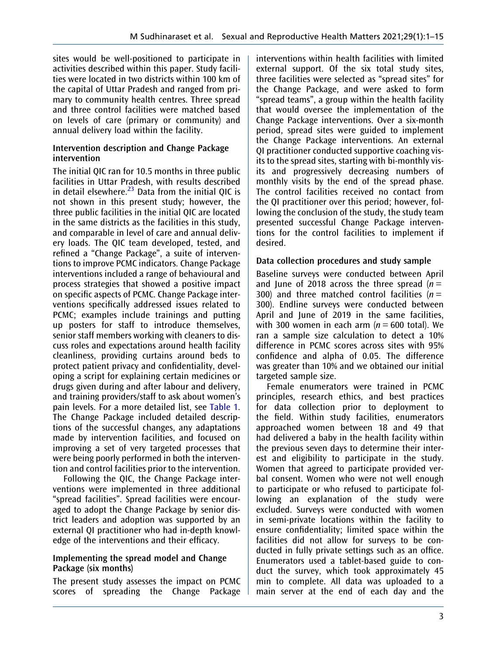sites would be well-positioned to participate in activities described within this paper. Study facilities were located in two districts within 100 km of the capital of Uttar Pradesh and ranged from primary to community health centres. Three spread and three control facilities were matched based on levels of care (primary or community) and annual delivery load within the facility.

#### Intervention description and Change Package intervention

The initial QIC ran for 10.5 months in three public facilities in Uttar Pradesh, with results described in detail elsewhere. $^{23}$  $^{23}$  $^{23}$  Data from the initial QIC is not shown in this present study; however, the three public facilities in the initial QIC are located in the same districts as the facilities in this study, and comparable in level of care and annual delivery loads. The QIC team developed, tested, and refined a "Change Package", a suite of interventions to improve PCMC indicators. Change Package interventions included a range of behavioural and process strategies that showed a positive impact on specific aspects of PCMC. Change Package interventions specifically addressed issues related to PCMC; examples include trainings and putting up posters for staff to introduce themselves, senior staff members working with cleaners to discuss roles and expectations around health facility cleanliness, providing curtains around beds to protect patient privacy and confidentiality, developing a script for explaining certain medicines or drugs given during and after labour and delivery, and training providers/staff to ask about women's pain levels. For a more detailed list, see [Table 1](#page-4-0). The Change Package included detailed descriptions of the successful changes, any adaptations made by intervention facilities, and focused on improving a set of very targeted processes that were being poorly performed in both the intervention and control facilities prior to the intervention.

Following the QIC, the Change Package interventions were implemented in three additional "spread facilities". Spread facilities were encouraged to adopt the Change Package by senior district leaders and adoption was supported by an external QI practitioner who had in-depth knowledge of the interventions and their efficacy.

#### Implementing the spread model and Change Package (six months)

The present study assesses the impact on PCMC scores of spreading the Change Package interventions within health facilities with limited external support. Of the six total study sites, three facilities were selected as "spread sites" for the Change Package, and were asked to form "spread teams", a group within the health facility that would oversee the implementation of the Change Package interventions. Over a six-month period, spread sites were guided to implement the Change Package interventions. An external QI practitioner conducted supportive coaching visits to the spread sites, starting with bi-monthly visits and progressively decreasing numbers of monthly visits by the end of the spread phase. The control facilities received no contact from the QI practitioner over this period; however, following the conclusion of the study, the study team presented successful Change Package interventions for the control facilities to implement if desired.

## Data collection procedures and study sample

Baseline surveys were conducted between April and June of 2018 across the three spread  $(n =$ 300) and three matched control facilities  $(n =$ 300). Endline surveys were conducted between April and June of 2019 in the same facilities, with 300 women in each arm  $(n = 600 \text{ total})$ . We ran a sample size calculation to detect a 10% difference in PCMC scores across sites with 95% confidence and alpha of 0.05. The difference was greater than 10% and we obtained our initial targeted sample size.

Female enumerators were trained in PCMC principles, research ethics, and best practices for data collection prior to deployment to the field. Within study facilities, enumerators approached women between 18 and 49 that had delivered a baby in the health facility within the previous seven days to determine their interest and eligibility to participate in the study. Women that agreed to participate provided verbal consent. Women who were not well enough to participate or who refused to participate following an explanation of the study were excluded. Surveys were conducted with women in semi-private locations within the facility to ensure confidentiality; limited space within the facilities did not allow for surveys to be conducted in fully private settings such as an office. Enumerators used a tablet-based guide to conduct the survey, which took approximately 45 min to complete. All data was uploaded to a main server at the end of each day and the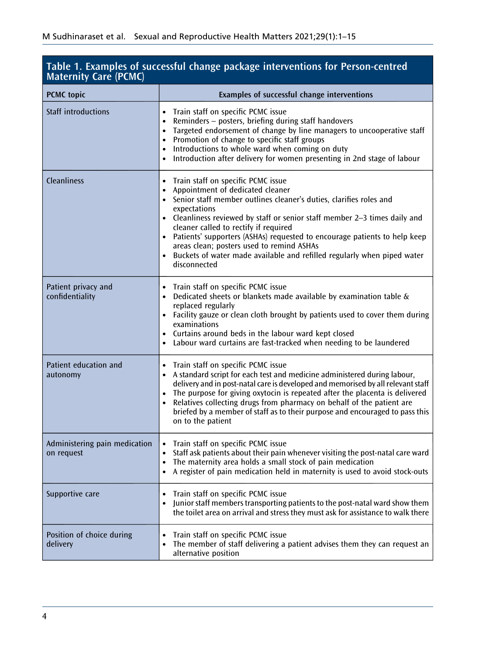<span id="page-4-0"></span>

| <b>Maternity Care (PCMC)</b>                | Table 1. Examples of successful change package interventions for Person-centred                                                                                                                                                                                                                                                                                                                                                                                                                                                        |
|---------------------------------------------|----------------------------------------------------------------------------------------------------------------------------------------------------------------------------------------------------------------------------------------------------------------------------------------------------------------------------------------------------------------------------------------------------------------------------------------------------------------------------------------------------------------------------------------|
| <b>PCMC</b> topic                           | Examples of successful change interventions                                                                                                                                                                                                                                                                                                                                                                                                                                                                                            |
| <b>Staff introductions</b>                  | Train staff on specific PCMC issue<br>$\bullet$<br>Reminders – posters, briefing during staff handovers<br>Targeted endorsement of change by line managers to uncooperative staff<br>$\bullet$<br>Promotion of change to specific staff groups<br>$\bullet$<br>Introductions to whole ward when coming on duty<br>Introduction after delivery for women presenting in 2nd stage of labour<br>$\bullet$                                                                                                                                 |
| <b>Cleanliness</b>                          | Train staff on specific PCMC issue<br>$\bullet$<br>Appointment of dedicated cleaner<br>$\bullet$<br>• Senior staff member outlines cleaner's duties, clarifies roles and<br>expectations<br>• Cleanliness reviewed by staff or senior staff member 2-3 times daily and<br>cleaner called to rectify if required<br>• Patients' supporters (ASHAs) requested to encourage patients to help keep<br>areas clean; posters used to remind ASHAs<br>Buckets of water made available and refilled regularly when piped water<br>disconnected |
| Patient privacy and<br>confidentiality      | Train staff on specific PCMC issue<br>Dedicated sheets or blankets made available by examination table $\&$<br>replaced regularly<br>• Facility gauze or clean cloth brought by patients used to cover them during<br>examinations<br>• Curtains around beds in the labour ward kept closed<br>Labour ward curtains are fast-tracked when needing to be laundered                                                                                                                                                                      |
| Patient education and<br>autonomy           | Train staff on specific PCMC issue<br>A standard script for each test and medicine administered during labour,<br>$\bullet$<br>delivery and in post-natal care is developed and memorised by all relevant staff<br>The purpose for giving oxytocin is repeated after the placenta is delivered<br>Relatives collecting drugs from pharmacy on behalf of the patient are<br>$\bullet$<br>briefed by a member of staff as to their purpose and encouraged to pass this<br>on to the patient                                              |
| Administering pain medication<br>on request | Train staff on specific PCMC issue<br>Staff ask patients about their pain whenever visiting the post-natal care ward<br>The maternity area holds a small stock of pain medication<br>• A register of pain medication held in maternity is used to avoid stock-outs                                                                                                                                                                                                                                                                     |
| Supportive care                             | Train staff on specific PCMC issue<br>Junior staff members transporting patients to the post-natal ward show them<br>$\bullet$<br>the toilet area on arrival and stress they must ask for assistance to walk there                                                                                                                                                                                                                                                                                                                     |
| Position of choice during<br>delivery       | Train staff on specific PCMC issue<br>The member of staff delivering a patient advises them they can request an<br>alternative position                                                                                                                                                                                                                                                                                                                                                                                                |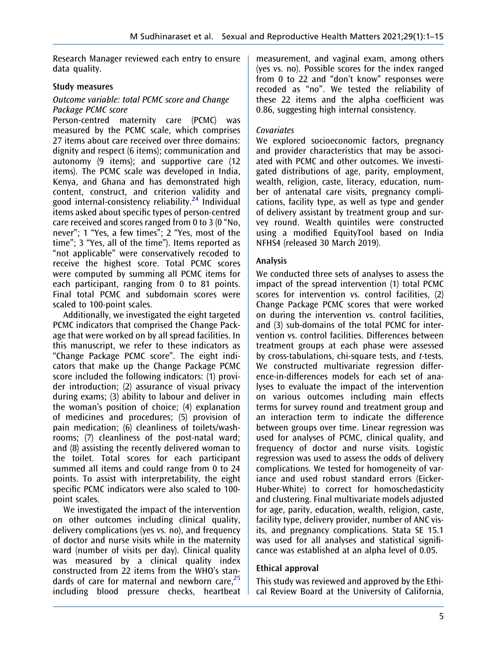Research Manager reviewed each entry to ensure data quality.

#### Study measures

#### Outcome variable: total PCMC score and Change Package PCMC score

<span id="page-5-0"></span>Person-centred maternity care (PCMC) was measured by the PCMC scale, which comprises 27 items about care received over three domains: dignity and respect (6 items); communication and autonomy (9 items); and supportive care (12 items). The PCMC scale was developed in India, Kenya, and Ghana and has demonstrated high content, construct, and criterion validity and good internal-consistency reliability. $24$  Individual items asked about specific types of person-centred care received and scores ranged from 0 to 3 (0 "No, never"; 1 "Yes, a few times"; 2 "Yes, most of the time"; 3 "Yes, all of the time"). Items reported as "not applicable" were conservatively recoded to receive the highest score. Total PCMC scores were computed by summing all PCMC items for each participant, ranging from 0 to 81 points. Final total PCMC and subdomain scores were scaled to 100-point scales.

Additionally, we investigated the eight targeted PCMC indicators that comprised the Change Package that were worked on by all spread facilities. In this manuscript, we refer to these indicators as "Change Package PCMC score". The eight indicators that make up the Change Package PCMC score included the following indicators: (1) provider introduction; (2) assurance of visual privacy during exams; (3) ability to labour and deliver in the woman's position of choice; (4) explanation of medicines and procedures; (5) provision of pain medication; (6) cleanliness of toilets/washrooms; (7) cleanliness of the post-natal ward; and (8) assisting the recently delivered woman to the toilet. Total scores for each participant summed all items and could range from 0 to 24 points. To assist with interpretability, the eight specific PCMC indicators were also scaled to 100 point scales.

We investigated the impact of the intervention on other outcomes including clinical quality, delivery complications (yes vs. no), and frequency of doctor and nurse visits while in the maternity ward (number of visits per day). Clinical quality was measured by a clinical quality index constructed from 22 items from the WHO's standards of care for maternal and newborn care, $^{25}$  $^{25}$  $^{25}$ including blood pressure checks, heartbeat

measurement, and vaginal exam, among others (yes vs. no). Possible scores for the index ranged from 0 to 22 and "don't know" responses were recoded as "no". We tested the reliability of these 22 items and the alpha coefficient was 0.86, suggesting high internal consistency.

#### **Covariates**

We explored socioeconomic factors, pregnancy and provider characteristics that may be associated with PCMC and other outcomes. We investigated distributions of age, parity, employment, wealth, religion, caste, literacy, education, number of antenatal care visits, pregnancy complications, facility type, as well as type and gender of delivery assistant by treatment group and survey round. Wealth quintiles were constructed using a modified EquityTool based on India NFHS4 (released 30 March 2019).

#### Analysis

We conducted three sets of analyses to assess the impact of the spread intervention (1) total PCMC scores for intervention vs. control facilities, (2) Change Package PCMC scores that were worked on during the intervention vs. control facilities, and (3) sub-domains of the total PCMC for intervention vs. control facilities. Differences between treatment groups at each phase were assessed by cross-tabulations, chi-square tests, and t-tests. We constructed multivariate regression difference-in-differences models for each set of analyses to evaluate the impact of the intervention on various outcomes including main effects terms for survey round and treatment group and an interaction term to indicate the difference between groups over time. Linear regression was used for analyses of PCMC, clinical quality, and frequency of doctor and nurse visits. Logistic regression was used to assess the odds of delivery complications. We tested for homogeneity of variance and used robust standard errors (Eicker-Huber-White) to correct for homoschedasticity and clustering. Final multivariate models adjusted for age, parity, education, wealth, religion, caste, facility type, delivery provider, number of ANC visits, and pregnancy complications. Stata SE 15.1 was used for all analyses and statistical significance was established at an alpha level of 0.05.

## Ethical approval

This study was reviewed and approved by the Ethical Review Board at the University of California,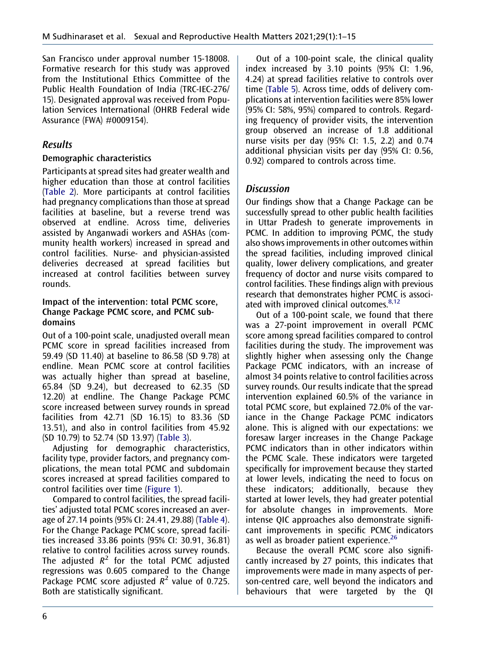San Francisco under approval number 15-18008. Formative research for this study was approved from the Institutional Ethics Committee of the Public Health Foundation of India (TRC-IEC-276/ 15). Designated approval was received from Population Services International (OHRB Federal wide Assurance (FWA) #0009154).

## Results

#### Demographic characteristics

Participants at spread sites had greater wealth and higher education than those at control facilities ([Table 2](#page-7-0)). More participants at control facilities had pregnancy complications than those at spread facilities at baseline, but a reverse trend was observed at endline. Across time, deliveries assisted by Anganwadi workers and ASHAs (community health workers) increased in spread and control facilities. Nurse- and physician-assisted deliveries decreased at spread facilities but increased at control facilities between survey rounds.

#### Impact of the intervention: total PCMC score, Change Package PCMC score, and PCMC subdomains

Out of a 100-point scale, unadjusted overall mean PCMC score in spread facilities increased from 59.49 (SD 11.40) at baseline to 86.58 (SD 9.78) at endline. Mean PCMC score at control facilities was actually higher than spread at baseline, 65.84 (SD 9.24), but decreased to 62.35 (SD 12.20) at endline. The Change Package PCMC score increased between survey rounds in spread facilities from 42.71 (SD 16.15) to 83.36 (SD 13.51), and also in control facilities from 45.92 (SD 10.79) to 52.74 (SD 13.97) ([Table 3\)](#page-9-0).

Adjusting for demographic characteristics, facility type, provider factors, and pregnancy complications, the mean total PCMC and subdomain scores increased at spread facilities compared to control facilities over time ([Figure 1\)](#page-9-1).

Compared to control facilities, the spread facilities' adjusted total PCMC scores increased an average of 27.14 points (95% CI: 24.41, 29.88) ([Table 4\)](#page-10-0). For the Change Package PCMC score, spread facilities increased 33.86 points (95% CI: 30.91, 36.81) relative to control facilities across survey rounds. The adjusted  $R^2$  for the total PCMC adjusted regressions was 0.605 compared to the Change Package PCMC score adjusted  $R^2$  value of 0.725. Both are statistically significant.

Out of a 100-point scale, the clinical quality index increased by 3.10 points (95% CI: 1.96, 4.24) at spread facilities relative to controls over time [\(Table 5](#page-11-0)). Across time, odds of delivery complications at intervention facilities were 85% lower (95% CI: 58%, 95%) compared to controls. Regarding frequency of provider visits, the intervention group observed an increase of 1.8 additional nurse visits per day (95% CI: 1.5, 2.2) and 0.74 additional physician visits per day (95% CI: 0.56, 0.92) compared to controls across time.

# **Discussion**

Our findings show that a Change Package can be successfully spread to other public health facilities in Uttar Pradesh to generate improvements in PCMC. In addition to improving PCMC, the study also shows improvements in other outcomes within the spread facilities, including improved clinical quality, lower delivery complications, and greater frequency of doctor and nurse visits compared to control facilities. These findings align with previous research that demonstrates higher PCMC is associated with improved clinical outcomes. $8,12$  $8,12$ 

Out of a 100-point scale, we found that there was a 27-point improvement in overall PCMC score among spread facilities compared to control facilities during the study. The improvement was slightly higher when assessing only the Change Package PCMC indicators, with an increase of almost 34 points relative to control facilities across survey rounds. Our results indicate that the spread intervention explained 60.5% of the variance in total PCMC score, but explained 72.0% of the variance in the Change Package PCMC indicators alone. This is aligned with our expectations: we foresaw larger increases in the Change Package PCMC indicators than in other indicators within the PCMC Scale. These indicators were targeted specifically for improvement because they started at lower levels, indicating the need to focus on these indicators; additionally, because they started at lower levels, they had greater potential for absolute changes in improvements. More intense QIC approaches also demonstrate significant improvements in specific PCMC indicators as well as broader patient experience. $26$ 

<span id="page-6-0"></span>Because the overall PCMC score also significantly increased by 27 points, this indicates that improvements were made in many aspects of person-centred care, well beyond the indicators and behaviours that were targeted by the QI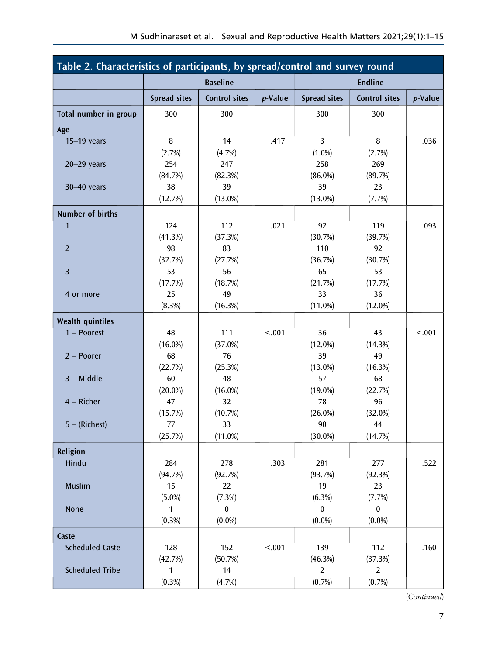<span id="page-7-0"></span>

| Table 2. Characteristics of participants, by spread/control and survey round |                     |                      |            |                     |                      |                 |  |  |
|------------------------------------------------------------------------------|---------------------|----------------------|------------|---------------------|----------------------|-----------------|--|--|
|                                                                              |                     | <b>Baseline</b>      |            |                     | <b>Endline</b>       |                 |  |  |
|                                                                              | <b>Spread sites</b> | <b>Control sites</b> | $p$ -Value | <b>Spread sites</b> | <b>Control sites</b> | <i>p</i> -Value |  |  |
| Total number in group                                                        | 300                 | 300                  |            | 300                 | 300                  |                 |  |  |
| Age                                                                          |                     |                      |            |                     |                      |                 |  |  |
| $15-19$ years                                                                | 8                   | 14                   | .417       | 3                   | 8                    | .036            |  |  |
|                                                                              | (2.7%)              | (4.7%)               |            | $(1.0\%)$           | (2.7%)               |                 |  |  |
| $20 - 29$ years                                                              | 254                 | 247                  |            | 258                 | 269                  |                 |  |  |
|                                                                              | (84.7%)             | (82.3%)              |            | $(86.0\%)$          | (89.7%)              |                 |  |  |
| $30 - 40$ years                                                              | 38                  | 39                   |            | 39                  | 23                   |                 |  |  |
|                                                                              | (12.7%)             | $(13.0\%)$           |            | $(13.0\%)$          | (7.7%)               |                 |  |  |
| <b>Number of births</b>                                                      |                     |                      |            |                     |                      |                 |  |  |
| 1                                                                            | 124                 | 112                  | .021       | 92                  | 119                  | .093            |  |  |
|                                                                              | (41.3%)             | (37.3%)              |            | (30.7%)             | (39.7%)              |                 |  |  |
| $\overline{2}$                                                               | 98                  | 83                   |            | 110                 | 92                   |                 |  |  |
|                                                                              | (32.7%)             | (27.7%)              |            | (36.7%)             | (30.7%)              |                 |  |  |
| $\overline{3}$                                                               | 53                  | 56                   |            | 65                  | 53                   |                 |  |  |
|                                                                              | (17.7%)             | (18.7%)              |            | (21.7%)             | (17.7%)              |                 |  |  |
| 4 or more                                                                    | 25                  | 49                   |            | 33                  | 36                   |                 |  |  |
|                                                                              | (8.3%)              | (16.3%)              |            | $(11.0\%)$          | $(12.0\%)$           |                 |  |  |
| <b>Wealth quintiles</b>                                                      |                     |                      |            |                     |                      |                 |  |  |
| $1 -$ Poorest                                                                | 48                  | 111                  | < .001     | 36                  | 43                   | < .001          |  |  |
|                                                                              | $(16.0\%)$          | $(37.0\%)$           |            | $(12.0\%)$          | (14.3%)              |                 |  |  |
| $2 - Poorer$                                                                 | 68                  | 76                   |            | 39                  | 49                   |                 |  |  |
|                                                                              | (22.7%)             | (25.3%)              |            | $(13.0\%)$          | (16.3%)              |                 |  |  |
| $3 - Middle$                                                                 | 60                  | 48                   |            | 57                  | 68                   |                 |  |  |
|                                                                              | $(20.0\%)$          | $(16.0\%)$           |            | $(19.0\%)$          | (22.7%)              |                 |  |  |
| $4 -$ Richer                                                                 | 47                  | 32                   |            | 78                  | 96                   |                 |  |  |
|                                                                              | (15.7%)             | (10.7%)              |            | $(26.0\%)$          | $(32.0\%)$           |                 |  |  |
| $5 - (Richard)$                                                              | 77                  | 33                   |            | 90                  | 44                   |                 |  |  |
|                                                                              | (25.7%)             | $(11.0\%)$           |            | $(30.0\%)$          | (14.7%)              |                 |  |  |
| Religion                                                                     |                     |                      |            |                     |                      |                 |  |  |
| Hindu                                                                        | 284                 | 278                  | .303       | 281                 | 277                  | .522            |  |  |
|                                                                              | (94.7%)             | (92.7%)              |            | (93.7%)             | (92.3%)              |                 |  |  |
| Muslim                                                                       | 15                  | 22                   |            | 19                  | 23                   |                 |  |  |
|                                                                              | $(5.0\%)$           | (7.3%)               |            | (6.3%)              | (7.7%)               |                 |  |  |
| None                                                                         | 1                   | $\pmb{0}$            |            | $\pmb{0}$           | $\pmb{0}$            |                 |  |  |
|                                                                              | $(0.3\%)$           | $(0.0\%)$            |            | $(0.0\%)$           | $(0.0\%)$            |                 |  |  |
| Caste                                                                        |                     |                      |            |                     |                      |                 |  |  |
| <b>Scheduled Caste</b>                                                       | 128                 | 152                  | < .001     | 139                 | 112                  | .160            |  |  |
|                                                                              | (42.7%)             | (50.7%)              |            | (46.3%)             | (37.3%)              |                 |  |  |
| <b>Scheduled Tribe</b>                                                       | $\mathbf{1}$        | 14                   |            | $\overline{2}$      | $\overline{2}$       |                 |  |  |
|                                                                              | (0.3%)              | (4.7%)               |            | (0.7%               | (0.7%                |                 |  |  |
|                                                                              |                     |                      |            |                     |                      | (Continued)     |  |  |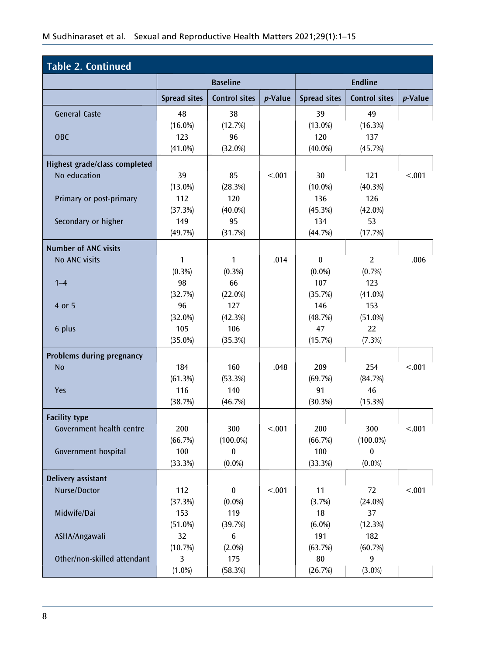| <b>Table 2. Continued</b>     |                     |                      |            |                     |                      |                 |
|-------------------------------|---------------------|----------------------|------------|---------------------|----------------------|-----------------|
|                               |                     | <b>Baseline</b>      |            |                     | <b>Endline</b>       |                 |
|                               | <b>Spread sites</b> | <b>Control sites</b> | $p$ -Value | <b>Spread sites</b> | <b>Control sites</b> | <i>p</i> -Value |
| <b>General Caste</b>          | 48                  | 38                   |            | 39                  | 49                   |                 |
|                               | $(16.0\%)$          | (12.7%)              |            | $(13.0\%)$          | (16.3%)              |                 |
| <b>OBC</b>                    | 123                 | 96                   |            | 120                 | 137                  |                 |
|                               | $(41.0\%)$          | $(32.0\%)$           |            | $(40.0\%)$          | (45.7%)              |                 |
| Highest grade/class completed |                     |                      |            |                     |                      |                 |
| No education                  | 39                  | 85                   | < .001     | 30                  | 121                  | < .001          |
|                               | $(13.0\%)$          | (28.3%)              |            | $(10.0\%)$          | (40.3%)              |                 |
| Primary or post-primary       | 112                 | 120                  |            | 136                 | 126                  |                 |
|                               | (37.3%)             | $(40.0\%)$           |            | (45.3%)             | $(42.0\%)$           |                 |
| Secondary or higher           | 149                 | 95                   |            | 134                 | 53                   |                 |
|                               | (49.7%)             | (31.7%)              |            | (44.7%)             | (17.7%)              |                 |
| <b>Number of ANC visits</b>   |                     |                      |            |                     |                      |                 |
| No ANC visits                 | $\mathbf{1}$        | $\mathbf{1}$         | .014       | $\mathbf{0}$        | $\overline{2}$       | .006            |
|                               | $(0.3\%)$           | $(0.3\%)$            |            | $(0.0\%)$           | (0.7%                |                 |
| $1 - 4$                       | 98                  | 66                   |            | 107                 | 123                  |                 |
|                               | (32.7%)             | $(22.0\%)$           |            | (35.7%)             | $(41.0\%)$           |                 |
| 4 or 5                        | 96                  | 127                  |            | 146                 | 153                  |                 |
|                               | $(32.0\%)$          | (42.3%)              |            | (48.7%)             | $(51.0\%)$           |                 |
| 6 plus                        | 105                 | 106                  |            | 47                  | 22                   |                 |
|                               | $(35.0\%)$          | (35.3%)              |            | (15.7%)             | (7.3%)               |                 |
| Problems during pregnancy     |                     |                      |            |                     |                      |                 |
| <b>No</b>                     | 184                 | 160                  | .048       | 209                 | 254                  | < .001          |
|                               | (61.3%)             | (53.3%)              |            | (69.7%)             | (84.7%)              |                 |
| Yes                           | 116                 | 140                  |            | 91                  | 46                   |                 |
|                               | (38.7%)             | (46.7%)              |            | (30.3%)             | (15.3%)              |                 |
|                               |                     |                      |            |                     |                      |                 |
| <b>Facility type</b>          |                     |                      |            |                     |                      |                 |
| Government health centre      | 200                 | 300                  | < 0.01     | 200                 | 300                  | < .001          |
|                               | (66.7%)             | $(100.0\%)$          |            | (66.7%)             | $(100.0\%)$          |                 |
| Government hospital           | 100                 | 0                    |            | 100                 | 0                    |                 |
|                               | (33.3%)             | $(0.0\%)$            |            | (33.3%)             | $(0.0\%)$            |                 |
| Delivery assistant            |                     |                      |            |                     |                      |                 |
| Nurse/Doctor                  | 112                 | $\bf{0}$             | < .001     | 11                  | 72                   | < .001          |
|                               | (37.3%)             | $(0.0\%)$            |            | (3.7%)              | $(24.0\%)$           |                 |
| Midwife/Dai                   | 153                 | 119                  |            | 18                  | 37                   |                 |
|                               | $(51.0\%)$          | (39.7%)              |            | $(6.0\%)$           | (12.3%)              |                 |
| ASHA/Angawali                 | 32                  | 6                    |            | 191                 | 182                  |                 |
|                               | (10.7%)             | $(2.0\%)$            |            | (63.7%)             | (60.7%)              |                 |
| Other/non-skilled attendant   | 3                   | 175                  |            | 80                  | 9                    |                 |
|                               | $(1.0\%)$           | (58.3%)              |            | (26.7%)             | $(3.0\%)$            |                 |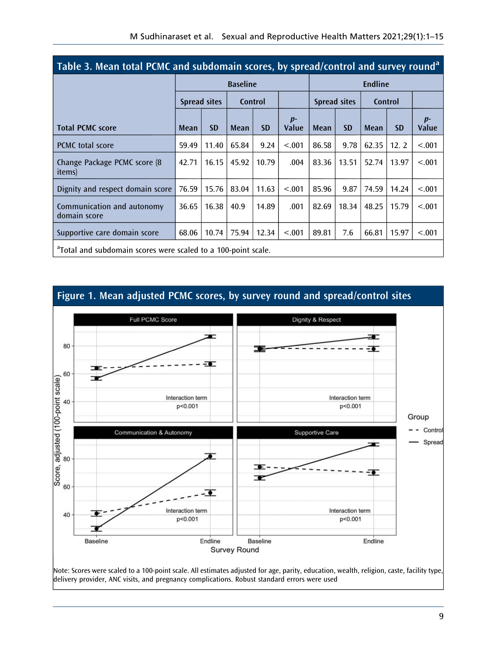<span id="page-9-0"></span>

| Table 3. Mean total PCMC and subdomain scores, by spread/control and survey round <sup>a</sup> |       |              |                 |           |               |       |              |                |           |               |
|------------------------------------------------------------------------------------------------|-------|--------------|-----------------|-----------|---------------|-------|--------------|----------------|-----------|---------------|
|                                                                                                |       |              | <b>Baseline</b> |           |               |       |              | <b>Endline</b> |           |               |
|                                                                                                |       | Spread sites |                 | Control   |               |       | Spread sites |                | Control   |               |
| <b>Total PCMC score</b>                                                                        | Mean  | <b>SD</b>    | Mean            | <b>SD</b> | $p-$<br>Value | Mean  | <b>SD</b>    | Mean           | <b>SD</b> | $p-$<br>Value |
| <b>PCMC</b> total score                                                                        | 59.49 | 11.40        | 65.84           | 9.24      | < .001        | 86.58 | 9.78         | 62.35          | 12.2      | < .001        |
| Change Package PCMC score (8)<br><i>items</i> )                                                | 42.71 | 16.15        | 45.92           | 10.79     | .004          | 83.36 | 13.51        | 52.74          | 13.97     | < .001        |
| Dignity and respect domain score                                                               | 76.59 | 15.76        | 83.04           | 11.63     | < 0.01        | 85.96 | 9.87         | 74.59          | 14.24     | < .001        |
| Communication and autonomy<br>domain score                                                     | 36.65 | 16.38        | 40.9            | 14.89     | .001          | 82.69 | 18.34        | 48.25          | 15.79     | < .001        |
| Supportive care domain score                                                                   | 68.06 | 10.74        | 75.94           | 12.34     | < .001        | 89.81 | 7.6          | 66.81          | 15.97     | < .001        |
| <sup>a</sup> Total and subdomain scores were scaled to a 100-point scale.                      |       |              |                 |           |               |       |              |                |           |               |

<span id="page-9-1"></span>

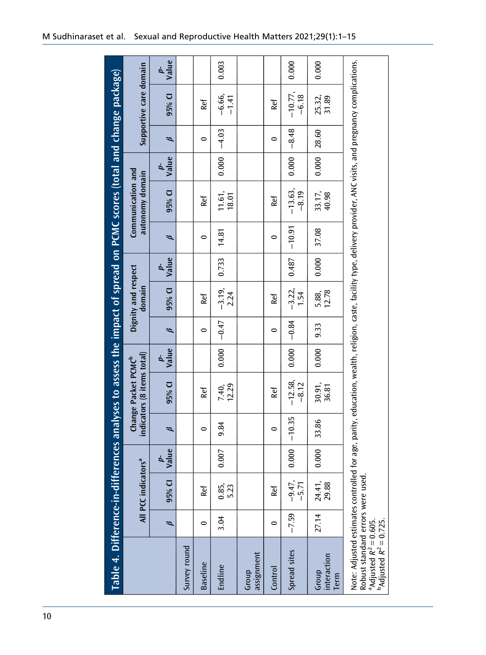<span id="page-10-0"></span>

| Table 4. Difference-in-differences analyses to assess the impact of spread on PCMC scores (total and change package)                                                                  |         |                                 |             |               |                                                               |             |         |                               |                              |          |                                                                                                                                     |                   |         |                        |                              |
|---------------------------------------------------------------------------------------------------------------------------------------------------------------------------------------|---------|---------------------------------|-------------|---------------|---------------------------------------------------------------|-------------|---------|-------------------------------|------------------------------|----------|-------------------------------------------------------------------------------------------------------------------------------------|-------------------|---------|------------------------|------------------------------|
|                                                                                                                                                                                       |         | All PCC indicators <sup>a</sup> |             |               | indicators (8 items total)<br>Change Packet PCMC <sup>b</sup> |             |         | Dignity and respect<br>domain |                              |          | Communication and<br>autonomy domain                                                                                                |                   |         | Supportive care domain |                              |
|                                                                                                                                                                                       | ø       | 95% CI                          | p-<br>Value | $\mathscr{G}$ | 95% CI                                                        | p-<br>Value | ø       | 95% CI                        | $v_{\text{alue}}^{\text{p}}$ | B        | 95% CI                                                                                                                              | v <sub>alue</sub> | ø       | 95% CI                 | $v_{\text{alue}}^{\text{p}}$ |
| Survey round                                                                                                                                                                          |         |                                 |             |               |                                                               |             |         |                               |                              |          |                                                                                                                                     |                   |         |                        |                              |
| <b>Baseline</b>                                                                                                                                                                       | 0       | Ref                             |             | $\bullet$     | Ref                                                           |             | 0       | Ref                           |                              | $\circ$  | Ref                                                                                                                                 |                   | 0       | Ref                    |                              |
| Endline                                                                                                                                                                               | 3.04    | 0.85, 23                        | 0.007       | 9.84          | 7.40,<br>12.29                                                | 0.000       | $-0.47$ | $-3.19,$<br>2.24              | 0.733                        | 14.81    | 11.61,<br>18.01                                                                                                                     | 0.000             | $-4.03$ | $-6.66,$<br>$-1.41$    | 0.003                        |
| assignment<br>Group                                                                                                                                                                   |         |                                 |             |               |                                                               |             |         |                               |                              |          |                                                                                                                                     |                   |         |                        |                              |
| Control                                                                                                                                                                               | 0       | Ref                             |             | 0             | Ref                                                           |             | $\circ$ | Ref                           |                              | 0        | Ref                                                                                                                                 |                   | 0       | Ref                    |                              |
| Spread sites                                                                                                                                                                          | $-7.59$ | $-9.47,$<br>$-5.71$             | 0.000       | $-10.35$      | $-12.58$<br>$-8.12$                                           | 0.000       | $-0.84$ | $-3.22,$<br>1.54              | 0.487                        | $-10.91$ | $-13.63,$<br>$-8.19$                                                                                                                | 0.000             | $-8.48$ | $-10.77,$<br>$-6.18$   | 0.000                        |
| interaction<br>Group<br>Term                                                                                                                                                          | 27.14   | 24.41,<br>29.88                 | 0.000       | 33.86         | 30.91,<br>36.81                                               | 0.000       | 9.33    | 12.78<br>5.88,                | 0.000                        | 37.08    | 33.17,<br>40.98                                                                                                                     | 0.000             | 28.60   | 25.32,<br>31.89        | 0.000                        |
| Robust standard errors were used.<br><sup>a</sup> Adjusted <i>R<sup>2</sup> =</i> 0.605.<br><sup>b</sup> Adjusted <i>R<sup>2</sup> = 0.72</i> 5.<br>Note: Adjusted estimates controll |         |                                 |             |               |                                                               |             |         |                               |                              |          | led for age, parity, education, wealth, religion, caste, facility type, delivery provider, ANC visits, and pregnancy complications. |                   |         |                        |                              |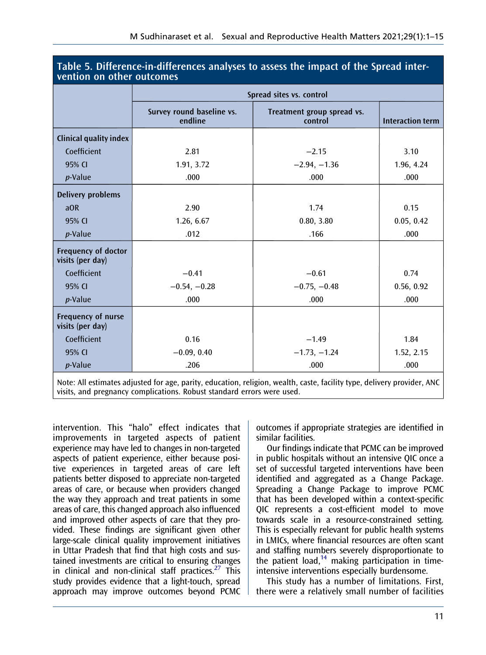| <b>VULLION ON OUNCE OUTCONNEY</b>              |                                      |                                       |                         |
|------------------------------------------------|--------------------------------------|---------------------------------------|-------------------------|
|                                                |                                      | Spread sites vs. control              |                         |
|                                                | Survey round baseline vs.<br>endline | Treatment group spread vs.<br>control | <b>Interaction term</b> |
| <b>Clinical quality index</b>                  |                                      |                                       |                         |
| Coefficient                                    | 2.81                                 | $-2.15$                               | 3.10                    |
| 95% CI                                         | 1.91, 3.72                           | $-2.94, -1.36$                        | 1.96, 4.24              |
| $p$ -Value                                     | .000                                 | .000                                  | .000                    |
| <b>Delivery problems</b>                       |                                      |                                       |                         |
| aOR                                            | 2.90                                 | 1.74                                  | 0.15                    |
| 95% CI                                         | 1.26, 6.67                           | 0.80, 3.80                            | 0.05, 0.42              |
| $p$ -Value                                     | .012                                 | .166                                  | .000                    |
| <b>Frequency of doctor</b><br>visits (per day) |                                      |                                       |                         |
| Coefficient                                    | $-0.41$                              | $-0.61$                               | 0.74                    |
| 95% CI                                         | $-0.54, -0.28$                       | $-0.75, -0.48$                        | 0.56, 0.92              |
| <i>p</i> -Value                                | .000                                 | .000                                  | .000                    |
| Frequency of nurse<br>visits (per day)         |                                      |                                       |                         |
| Coefficient                                    | 0.16                                 | $-1.49$                               | 1.84                    |
| 95% CI                                         | $-0.09, 0.40$                        | $-1.73, -1.24$                        | 1.52, 2.15              |
| $p$ -Value                                     | .206                                 | .000                                  | .000                    |
|                                                |                                      |                                       |                         |

#### <span id="page-11-0"></span>Table 5. Difference-in-differences analyses to assess the impact of the Spread intervention on other outcomes

Note: All estimates adjusted for age, parity, education, religion, wealth, caste, facility type, delivery provider, ANC visits, and pregnancy complications. Robust standard errors were used.

<span id="page-11-1"></span>intervention. This "halo" effect indicates that improvements in targeted aspects of patient experience may have led to changes in non-targeted aspects of patient experience, either because positive experiences in targeted areas of care left patients better disposed to appreciate non-targeted areas of care, or because when providers changed the way they approach and treat patients in some areas of care, this changed approach also influenced and improved other aspects of care that they provided. These findings are significant given other large-scale clinical quality improvement initiatives in Uttar Pradesh that find that high costs and sustained investments are critical to ensuring changes in clinical and non-clinical staff practices.<sup>27</sup> This study provides evidence that a light-touch, spread approach may improve outcomes beyond PCMC outcomes if appropriate strategies are identified in similar facilities.

Our findings indicate that PCMC can be improved in public hospitals without an intensive QIC once a set of successful targeted interventions have been identified and aggregated as a Change Package. Spreading a Change Package to improve PCMC that has been developed within a context-specific QIC represents a cost-efficient model to move towards scale in a resource-constrained setting. This is especially relevant for public health systems in LMICs, where financial resources are often scant and staffing numbers severely disproportionate to the patient load, $14$  making participation in timeintensive interventions especially burdensome.

This study has a number of limitations. First, there were a relatively small number of facilities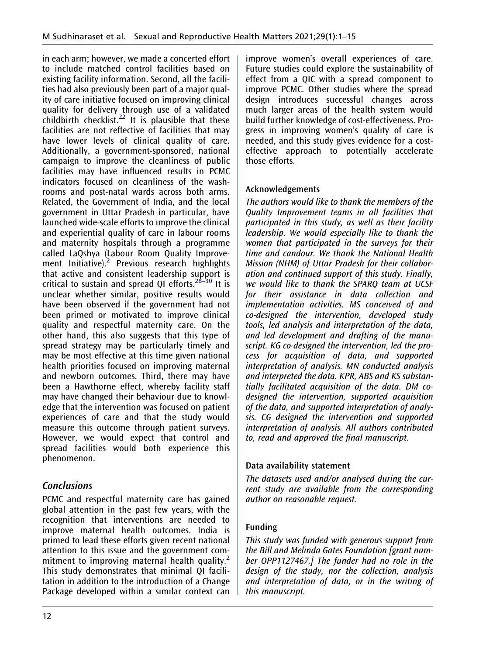in each arm; however, we made a concerted effort to include matched control facilities based on existing facility information. Second, all the facilities had also previously been part of a major quality of care initiative focused on improving clinical quality for delivery through use of a validated  $\frac{1}{2}$  childbirth checklist.<sup>22</sup> It is plausible that these facilities are not reflective of facilities that may have lower levels of clinical quality of care. Additionally, a government-sponsored, national campaign to improve the cleanliness of public facilities may have influenced results in PCMC indicators focused on cleanliness of the washrooms and post-natal wards across both arms. Related, the Government of India, and the local government in Uttar Pradesh in particular, have launched wide-scale efforts to improve the clinical and experiential quality of care in labour rooms and maternity hospitals through a programme called LaQshya (Labour Room Quality Improvement Initiative).<sup>2</sup> Previous research highlights that active and consistent leadership support is critical to sustain and spread QI efforts. $28-30$  It is unclear whether similar, positive results would have been observed if the government had not been primed or motivated to improve clinical quality and respectful maternity care. On the other hand, this also suggests that this type of spread strategy may be particularly timely and may be most effective at this time given national health priorities focused on improving maternal and newborn outcomes. Third, there may have been a Hawthorne effect, whereby facility staff may have changed their behaviour due to knowledge that the intervention was focused on patient experiences of care and that the study would measure this outcome through patient surveys. However, we would expect that control and spread facilities would both experience this phenomenon.

# <span id="page-12-0"></span>Conclusions

PCMC and respectful maternity care has gained global attention in the past few years, with the recognition that interventions are needed to improve maternal health outcomes. India is primed to lead these efforts given recent national attention to this issue and the government com-mitment to improving maternal health quality.<sup>[2](#page-13-1)</sup> This study demonstrates that minimal QI facilitation in addition to the introduction of a Change Package developed within a similar context can improve women's overall experiences of care. Future studies could explore the sustainability of effect from a QIC with a spread component to improve PCMC. Other studies where the spread design introduces successful changes across much larger areas of the health system would build further knowledge of cost-effectiveness. Progress in improving women's quality of care is needed, and this study gives evidence for a costeffective approach to potentially accelerate those efforts.

## Acknowledgements

The authors would like to thank the members of the Quality Improvement teams in all facilities that participated in this study, as well as their facility leadership. We would especially like to thank the women that participated in the surveys for their time and candour. We thank the National Health Mission (NHM) of Uttar Pradesh for their collaboration and continued support of this study. Finally, we would like to thank the SPARQ team at UCSF for their assistance in data collection and implementation activities. MS conceived of and co-designed the intervention, developed study tools, led analysis and interpretation of the data, and led development and drafting of the manuscript. KG co-designed the intervention, led the process for acquisition of data, and supported interpretation of analysis. MN conducted analysis and interpreted the data. KPR, ABS and KS substantially facilitated acquisition of the data. DM codesigned the intervention, supported acquisition of the data, and supported interpretation of analysis. CG designed the intervention and supported interpretation of analysis. All authors contributed to, read and approved the final manuscript.

#### Data availability statement

The datasets used and/or analysed during the current study are available from the corresponding author on reasonable request.

#### Funding

This study was funded with generous support from the Bill and Melinda Gates Foundation [grant number OPP1127467.] The funder had no role in the design of the study, nor the collection, analysis and interpretation of data, or in the writing of this manuscript.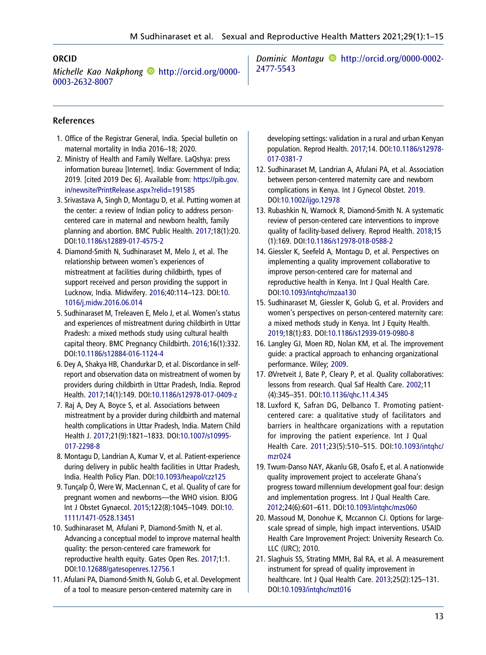#### ORCID

Michelle Kao Nakphong **[http://orcid.org/0000-](http://orcid.org/0000-0003-2632-8007)** [0003-2632-8007](http://orcid.org/0000-0003-2632-8007)

Dominic Montagu [http://orcid.org/0000-0002-](http://orcid.org/0000-0002-2477-5543) [2477-5543](http://orcid.org/0000-0002-2477-5543)

#### References

- <span id="page-13-0"></span>1. Office of the Registrar General, India. Special bulletin on maternal mortality in India 2016–18; 2020.
- <span id="page-13-1"></span>2. Ministry of Health and Family Welfare. LaQshya: press information bureau [Internet]. India: Government of India; 2019. [cited 2019 Dec 6]. Available from: [https://pib.gov.](https://pib.gov.in/newsite/PrintRelease.aspx?relid=191585) [in/newsite/PrintRelease.aspx?relid=191585](https://pib.gov.in/newsite/PrintRelease.aspx?relid=191585)
- <span id="page-13-2"></span>3. Srivastava A, Singh D, Montagu D, et al. Putting women at the center: a review of Indian policy to address personcentered care in maternal and newborn health, family planning and abortion. BMC Public Health. [2017;](#page-2-0)18(1):20. DOI[:10.1186/s12889-017-4575-2](https://doi.org/10.1186/s12889-017-4575-2)
- 4. Diamond-Smith N, Sudhinaraset M, Melo J, et al. The relationship between women's experiences of mistreatment at facilities during childbirth, types of support received and person providing the support in Lucknow, India. Midwifery. [2016;](#page-2-1)40:114–123. DOI:[10.](https://doi.org/10.1016/j.midw.2016.06.014) [1016/j.midw.2016.06.014](https://doi.org/10.1016/j.midw.2016.06.014)
- 5. Sudhinaraset M, Treleaven E, Melo J, et al. Women's status and experiences of mistreatment during childbirth in Uttar Pradesh: a mixed methods study using cultural health capital theory. BMC Pregnancy Childbirth. 2016;16(1):332. DOI[:10.1186/s12884-016-1124-4](https://doi.org/10.1186/s12884-016-1124-4)
- 6. Dey A, Shakya HB, Chandurkar D, et al. Discordance in selfreport and observation data on mistreatment of women by providers during childbirth in Uttar Pradesh, India. Reprod Health. 2017;14(1):149. DOI:[10.1186/s12978-017-0409-z](https://doi.org/10.1186/s12978-017-0409-z)
- 7. Raj A, Dey A, Boyce S, et al. Associations between mistreatment by a provider during childbirth and maternal health complications in Uttar Pradesh, India. Matern Child Health J. 2017;21(9):1821–1833. DOI:[10.1007/s10995-](https://doi.org/10.1007/s10995-017-2298-8) [017-2298-8](https://doi.org/10.1007/s10995-017-2298-8)
- <span id="page-13-3"></span>8. Montagu D, Landrian A, Kumar V, et al. Patient-experience during delivery in public health facilities in Uttar Pradesh, India. Health Policy Plan. DOI[:10.1093/heapol/czz125](https://doi.org/10.1093/heapol/czz125)
- <span id="page-13-4"></span>9. Tunçalp Ö, Were W, MacLennan C, et al. Quality of care for pregnant women and newborns—the WHO vision. BJOG Int J Obstet Gynaecol. [2015;](#page-2-2)122(8):1045–1049. DOI:[10.](https://doi.org/10.1111/1471-0528.13451) [1111/1471-0528.13451](https://doi.org/10.1111/1471-0528.13451)
- <span id="page-13-5"></span>10. Sudhinaraset M, Afulani P, Diamond-Smith N, et al. Advancing a conceptual model to improve maternal health quality: the person-centered care framework for reproductive health equity. Gates Open Res. [2017;](#page-2-3)1:1. DOI:[10.12688/gatesopenres.12756.1](https://doi.org/10.12688/gatesopenres.12756.1)
- <span id="page-13-6"></span>11. Afulani PA, Diamond-Smith N, Golub G, et al. Development of a tool to measure person-centered maternity care in

developing settings: validation in a rural and urban Kenyan population. Reprod Health. [2017;](#page-2-3)14. DOI[:10.1186/s12978-](https://doi.org/10.1186/s12978-017-0381-7) [017-0381-7](https://doi.org/10.1186/s12978-017-0381-7)

- <span id="page-13-7"></span>12. Sudhinaraset M, Landrian A, Afulani PA, et al. Association between person-centered maternity care and newborn complications in Kenya. Int J Gynecol Obstet. [2019](#page-2-4). DOI:[10.1002/ijgo.12978](https://doi.org/10.1002/ijgo.12978)
- <span id="page-13-8"></span>13. Rubashkin N, Warnock R, Diamond-Smith N. A systematic review of person-centered care interventions to improve quality of facility-based delivery. Reprod Health. [2018](#page-2-5);15 (1):169. DOI[:10.1186/s12978-018-0588-2](https://doi.org/10.1186/s12978-018-0588-2)
- <span id="page-13-9"></span>14. Giessler K, Seefeld A, Montagu D, et al. Perspectives on implementing a quality improvement collaborative to improve person-centered care for maternal and reproductive health in Kenya. Int J Qual Health Care. DOI:[10.1093/intqhc/mzaa130](https://doi.org/10.1093/intqhc/mzaa130)
- <span id="page-13-10"></span>15. Sudhinaraset M, Giessler K, Golub G, et al. Providers and women's perspectives on person-centered maternity care: a mixed methods study in Kenya. Int J Equity Health. [2019](#page-2-6);18(1):83. DOI[:10.1186/s12939-019-0980-8](https://doi.org/10.1186/s12939-019-0980-8)
- <span id="page-13-11"></span>16. Langley GJ, Moen RD, Nolan KM, et al. The improvement guide: a practical approach to enhancing organizational performance. Wiley; [2009.](#page-2-7)
- <span id="page-13-12"></span>17. ØVretveit J, Bate P, Cleary P, et al. Quality collaboratives: lessons from research. Qual Saf Health Care. [2002](#page-2-8);11 (4):345–351. DOI[:10.1136/qhc.11.4.345](https://doi.org/10.1136/qhc.11.4.345)
- <span id="page-13-13"></span>18. Luxford K, Safran DG, Delbanco T. Promoting patientcentered care: a qualitative study of facilitators and barriers in healthcare organizations with a reputation for improving the patient experience. Int J Qual Health Care. [2011](#page-2-9);23(5):510–515. DOI:[10.1093/intqhc/](https://doi.org/10.1093/intqhc/mzr024) [mzr024](https://doi.org/10.1093/intqhc/mzr024)
- <span id="page-13-14"></span>19. Twum-Danso NAY, Akanlu GB, Osafo E, et al. A nationwide quality improvement project to accelerate Ghana's progress toward millennium development goal four: design and implementation progress. Int J Qual Health Care. [2012](#page-2-10);24(6):601–611. DOI:[10.1093/intqhc/mzs060](https://doi.org/10.1093/intqhc/mzs060)
- <span id="page-13-15"></span>20. Massoud M, Donohue K, Mccannon CJ. Options for largescale spread of simple, high impact interventions. USAID Health Care Improvement Project: University Research Co. LLC (URC); 2010.
- <span id="page-13-16"></span>21. Slaghuis SS, Strating MMH, Bal RA, et al. A measurement instrument for spread of quality improvement in healthcare. Int J Qual Health Care. [2013;](#page-2-11)25(2):125–131. DOI:[10.1093/intqhc/mzt016](https://doi.org/10.1093/intqhc/mzt016)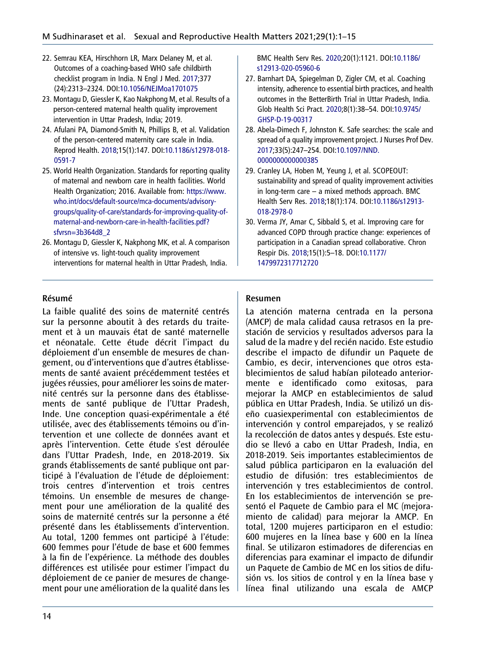- <span id="page-14-0"></span>22. Semrau KEA, Hirschhorn LR, Marx Delaney M, et al. Outcomes of a coaching-based WHO safe childbirth checklist program in India. N Engl J Med. [2017](#page-2-12);377 (24):2313–2324. DOI:[10.1056/NEJMoa1701075](https://doi.org/10.1056/NEJMoa1701075)
- <span id="page-14-1"></span>23. Montagu D, Giessler K, Kao Nakphong M, et al. Results of a person-centered maternal health quality improvement intervention in Uttar Pradesh, India; 2019.
- <span id="page-14-2"></span>24. Afulani PA, Diamond-Smith N, Phillips B, et al. Validation of the person-centered maternity care scale in India. Reprod Health. [2018](#page-5-0);15(1):147. DOI[:10.1186/s12978-018-](https://doi.org/10.1186/s12978-018-0591-7) [0591-7](https://doi.org/10.1186/s12978-018-0591-7)
- <span id="page-14-3"></span>25. World Health Organization. Standards for reporting quality of maternal and newborn care in health facilities. World Health Organization; 2016. Available from: [https://www.](https://www.who.int/docs/default-source/mca-documents/advisory-groups/quality-of-care/standards-for-improving-quality-of-maternal-and-newborn-care-in-health-facilities.pdf?sfvrsn=3b364d8_2) [who.int/docs/default-source/mca-documents/advisory](https://www.who.int/docs/default-source/mca-documents/advisory-groups/quality-of-care/standards-for-improving-quality-of-maternal-and-newborn-care-in-health-facilities.pdf?sfvrsn=3b364d8_2)[groups/quality-of-care/standards-for-improving-quality-of](https://www.who.int/docs/default-source/mca-documents/advisory-groups/quality-of-care/standards-for-improving-quality-of-maternal-and-newborn-care-in-health-facilities.pdf?sfvrsn=3b364d8_2)[maternal-and-newborn-care-in-health-facilities.pdf?](https://www.who.int/docs/default-source/mca-documents/advisory-groups/quality-of-care/standards-for-improving-quality-of-maternal-and-newborn-care-in-health-facilities.pdf?sfvrsn=3b364d8_2) [sfvrsn=3b364d8\\_2](https://www.who.int/docs/default-source/mca-documents/advisory-groups/quality-of-care/standards-for-improving-quality-of-maternal-and-newborn-care-in-health-facilities.pdf?sfvrsn=3b364d8_2)
- <span id="page-14-4"></span>26. Montagu D, Giessler K, Nakphong MK, et al. A comparison of intensive vs. light-touch quality improvement interventions for maternal health in Uttar Pradesh, India.

Résumé

La faible qualité des soins de maternité centrés sur la personne aboutit à des retards du traitement et à un mauvais état de santé maternelle et néonatale. Cette étude décrit l'impact du déploiement d'un ensemble de mesures de changement, ou d'interventions que d'autres établissements de santé avaient précédemment testées et jugées réussies, pour améliorer les soins de maternité centrés sur la personne dans des établissements de santé publique de l'Uttar Pradesh, Inde. Une conception quasi-expérimentale a été utilisée, avec des établissements témoins ou d'intervention et une collecte de données avant et après l'intervention. Cette étude s'est déroulée dans l'Uttar Pradesh, Inde, en 2018-2019. Six grands établissements de santé publique ont participé à l'évaluation de l'étude de déploiement: trois centres d'intervention et trois centres témoins. Un ensemble de mesures de changement pour une amélioration de la qualité des soins de maternité centrés sur la personne a été présenté dans les établissements d'intervention. Au total, 1200 femmes ont participé à l'étude: 600 femmes pour l'étude de base et 600 femmes à la fin de l'expérience. La méthode des doubles différences est utilisée pour estimer l'impact du déploiement de ce panier de mesures de changement pour une amélioration de la qualité dans les

BMC Health Serv Res. [2020](#page-6-0);20(1):1121. DOI[:10.1186/](https://doi.org/10.1186/s12913-020-05960-6) [s12913-020-05960-6](https://doi.org/10.1186/s12913-020-05960-6)

- <span id="page-14-5"></span>27. Barnhart DA, Spiegelman D, Zigler CM, et al. Coaching intensity, adherence to essential birth practices, and health outcomes in the BetterBirth Trial in Uttar Pradesh, India. Glob Health Sci Pract. [2020;](#page-11-1)8(1):38–54. DOI:[10.9745/](https://doi.org/10.9745/GHSP-D-19-00317) [GHSP-D-19-00317](https://doi.org/10.9745/GHSP-D-19-00317)
- 28. Abela-Dimech F, Johnston K. Safe searches: the scale and spread of a quality improvement project. J Nurses Prof Dev. [2017;](#page-12-0)33(5):247–254. DOI[:10.1097/NND.](https://doi.org/10.1097/NND.0000000000000385) [0000000000000385](https://doi.org/10.1097/NND.0000000000000385)
- 29. Cranley LA, Hoben M, Yeung J, et al. SCOPEOUT: sustainability and spread of quality improvement activities in long-term care – a mixed methods approach. BMC Health Serv Res. 2018;18(1):174. DOI:[10.1186/s12913-](https://doi.org/10.1186/s12913-018-2978-0) [018-2978-0](https://doi.org/10.1186/s12913-018-2978-0)
- 30. Verma JY, Amar C, Sibbald S, et al. Improving care for advanced COPD through practice change: experiences of participation in a Canadian spread collaborative. Chron Respir Dis. 2018;15(1):5–18. DOI:[10.1177/](https://doi.org/10.1177/1479972317712720) [1479972317712720](https://doi.org/10.1177/1479972317712720)

#### Resumen

La atención materna centrada en la persona (AMCP) de mala calidad causa retrasos en la prestación de servicios y resultados adversos para la salud de la madre y del recién nacido. Este estudio describe el impacto de difundir un Paquete de Cambio, es decir, intervenciones que otros establecimientos de salud habían piloteado anteriormente e identificado como exitosas, para mejorar la AMCP en establecimientos de salud pública en Uttar Pradesh, India. Se utilizó un diseño cuasiexperimental con establecimientos de intervención y control emparejados, y se realizó la recolección de datos antes y después. Este estudio se llevó a cabo en Uttar Pradesh, India, en 2018-2019. Seis importantes establecimientos de salud pública participaron en la evaluación del estudio de difusión: tres establecimientos de intervención y tres establecimientos de control. En los establecimientos de intervención se presentó el Paquete de Cambio para el MC (mejoramiento de calidad) para mejorar la AMCP. En total, 1200 mujeres participaron en el estudio: 600 mujeres en la línea base y 600 en la línea final. Se utilizaron estimadores de diferencias en diferencias para examinar el impacto de difundir un Paquete de Cambio de MC en los sitios de difusión vs. los sitios de control y en la línea base y línea final utilizando una escala de AMCP